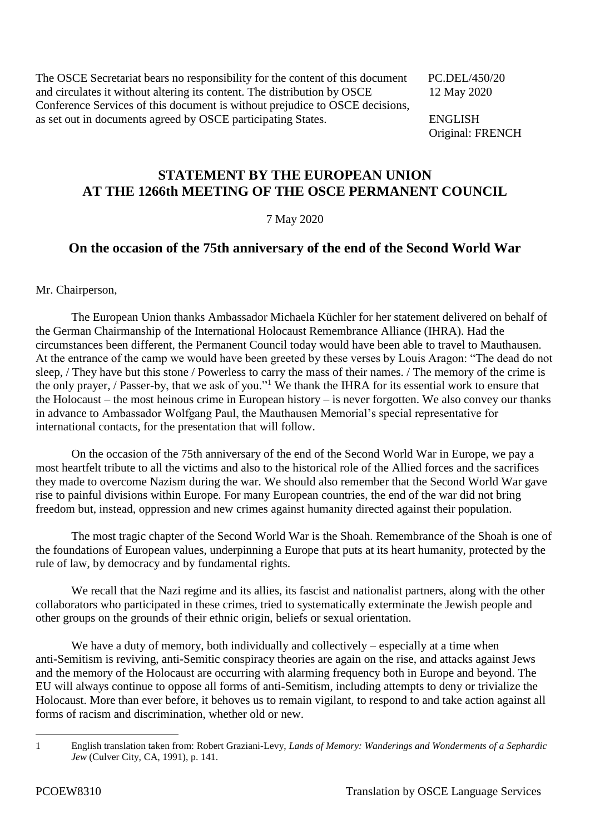The OSCE Secretariat bears no responsibility for the content of this document PC.DEL/450/20 and circulates it without altering its content. The distribution by OSCE 12 May 2020 Conference Services of this document is without prejudice to OSCE decisions, as set out in documents agreed by OSCE participating States. ENGLISH

Original: FRENCH

## **STATEMENT BY THE EUROPEAN UNION AT THE 1266th MEETING OF THE OSCE PERMANENT COUNCIL**

## 7 May 2020

## **On the occasion of the 75th anniversary of the end of the Second World War**

Mr. Chairperson,

The European Union thanks Ambassador Michaela Küchler for her statement delivered on behalf of the German Chairmanship of the International Holocaust Remembrance Alliance (IHRA). Had the circumstances been different, the Permanent Council today would have been able to travel to Mauthausen. At the entrance of the camp we would have been greeted by these verses by Louis Aragon: "The dead do not sleep, / They have but this stone / Powerless to carry the mass of their names. / The memory of the crime is the only prayer, / Passer-by, that we ask of you."<sup>1</sup> We thank the IHRA for its essential work to ensure that the Holocaust – the most heinous crime in European history – is never forgotten. We also convey our thanks in advance to Ambassador Wolfgang Paul, the Mauthausen Memorial's special representative for international contacts, for the presentation that will follow.

On the occasion of the 75th anniversary of the end of the Second World War in Europe, we pay a most heartfelt tribute to all the victims and also to the historical role of the Allied forces and the sacrifices they made to overcome Nazism during the war. We should also remember that the Second World War gave rise to painful divisions within Europe. For many European countries, the end of the war did not bring freedom but, instead, oppression and new crimes against humanity directed against their population.

The most tragic chapter of the Second World War is the Shoah. Remembrance of the Shoah is one of the foundations of European values, underpinning a Europe that puts at its heart humanity, protected by the rule of law, by democracy and by fundamental rights.

We recall that the Nazi regime and its allies, its fascist and nationalist partners, along with the other collaborators who participated in these crimes, tried to systematically exterminate the Jewish people and other groups on the grounds of their ethnic origin, beliefs or sexual orientation.

We have a duty of memory, both individually and collectively – especially at a time when anti-Semitism is reviving, anti-Semitic conspiracy theories are again on the rise, and attacks against Jews and the memory of the Holocaust are occurring with alarming frequency both in Europe and beyond. The EU will always continue to oppose all forms of anti-Semitism, including attempts to deny or trivialize the Holocaust. More than ever before, it behoves us to remain vigilant, to respond to and take action against all forms of racism and discrimination, whether old or new.

<sup>1</sup> 

<sup>1</sup> English translation taken from: Robert Graziani-Levy, *Lands of Memory: Wanderings and Wonderments of a Sephardic Jew* (Culver City, CA, 1991), p. 141.